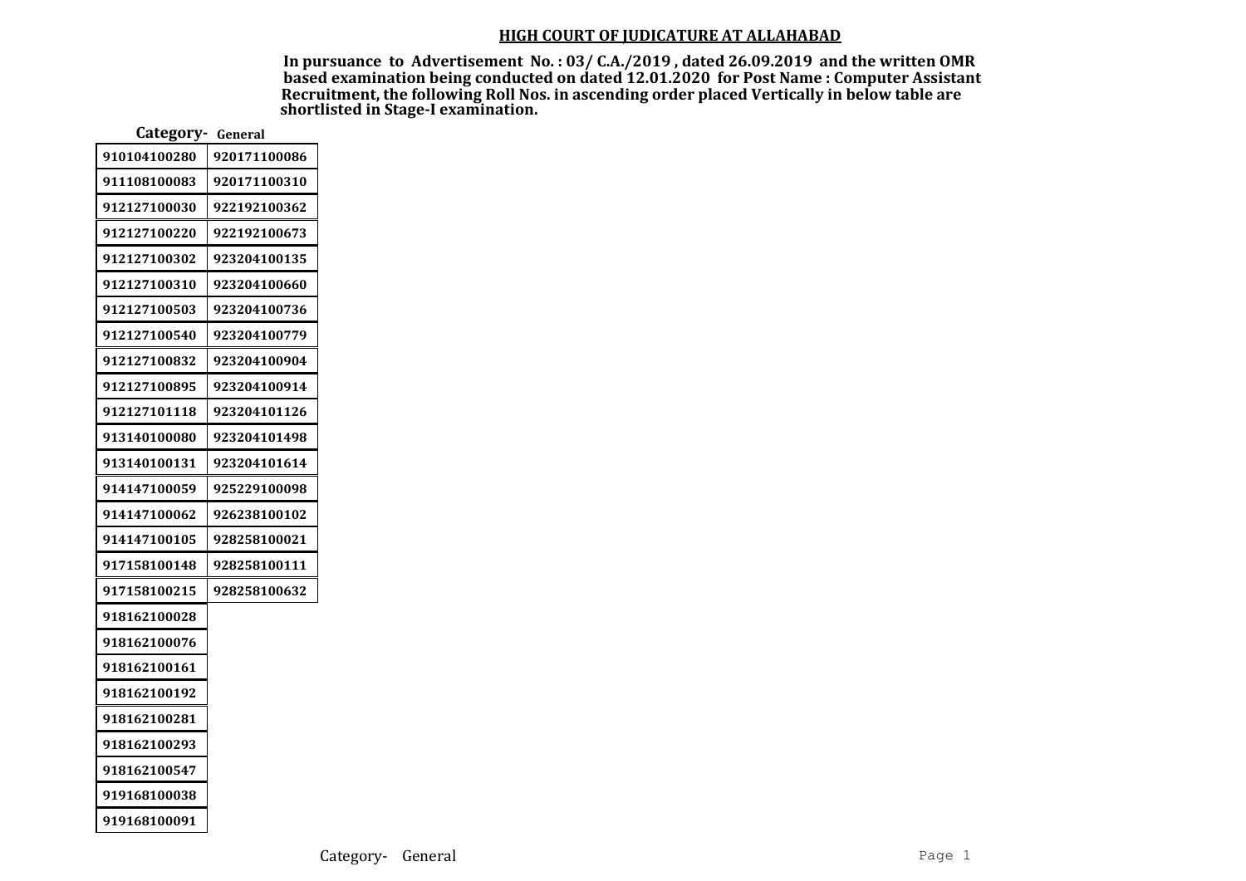In pursuance to Advertisement No. : 03/ C.A./2019 , dated 26.09.2019 and the written OMR based examination being conducted on dated 12.01.2020 for Post Name : Computer Assistant Recruitment, the following Roll Nos. in ascending order placed Vertically in below table are shortlisted in Stage-I examination.

| Category- General |              |  |
|-------------------|--------------|--|
| 910104100280      | 920171100086 |  |
| 911108100083      | 920171100310 |  |
| 912127100030      | 922192100362 |  |
| 912127100220      | 922192100673 |  |
| 912127100302      | 923204100135 |  |
| 912127100310      | 923204100660 |  |
| 912127100503      | 923204100736 |  |
| 912127100540      | 923204100779 |  |
| 912127100832      | 923204100904 |  |
| 912127100895      | 923204100914 |  |
| 912127101118      | 923204101126 |  |
| 913140100080      | 923204101498 |  |
| 913140100131      | 923204101614 |  |
| 914147100059      | 925229100098 |  |
| 914147100062      | 926238100102 |  |
| 914147100105      | 928258100021 |  |
| 917158100148      | 928258100111 |  |
| 917158100215      | 928258100632 |  |
| 918162100028      |              |  |
| 918162100076      |              |  |
| 918162100161      |              |  |
| 918162100192      |              |  |
| 918162100281      |              |  |
| 918162100293      |              |  |
| 918162100547      |              |  |
| 919168100038      |              |  |
| 919168100091      |              |  |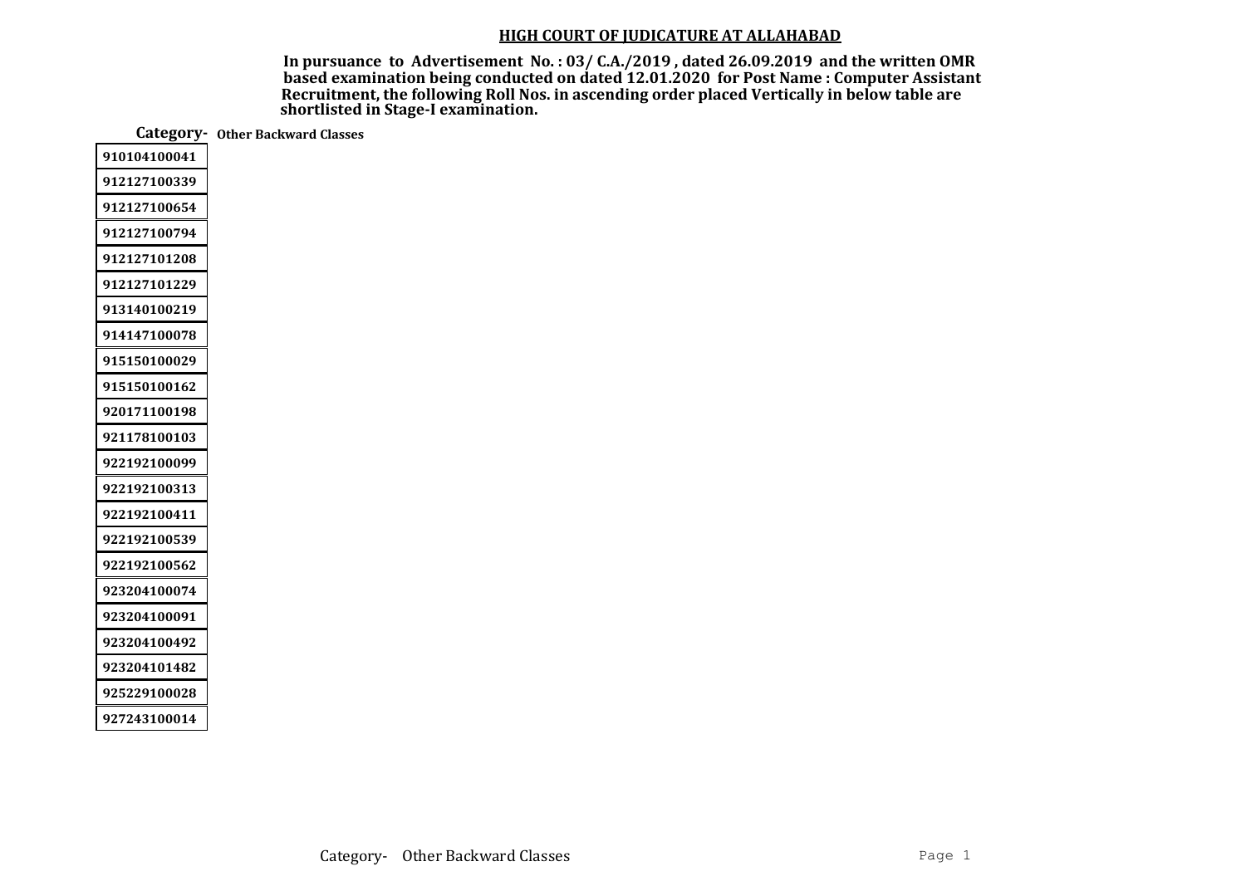In pursuance to Advertisement No. : 03/ C.A./2019 , dated 26.09.2019 and the written OMR based examination being conducted on dated 12.01.2020 for Post Name : Computer Assistant Recruitment, the following Roll Nos. in ascending order placed Vertically in below table are shortlisted in Stage-I examination.

Category- Other Backward Classes

| 910104100041 |
|--------------|
| 912127100339 |
| 912127100654 |
| 912127100794 |
| 912127101208 |
| 912127101229 |
| 913140100219 |
| 914147100078 |
| 915150100029 |
| 915150100162 |
| 920171100198 |
| 921178100103 |
| 922192100099 |
| 922192100313 |
| 922192100411 |
| 922192100539 |
| 922192100562 |
| 923204100074 |
| 923204100091 |
| 923204100492 |
| 923204101482 |
| 925229100028 |
| 927243100014 |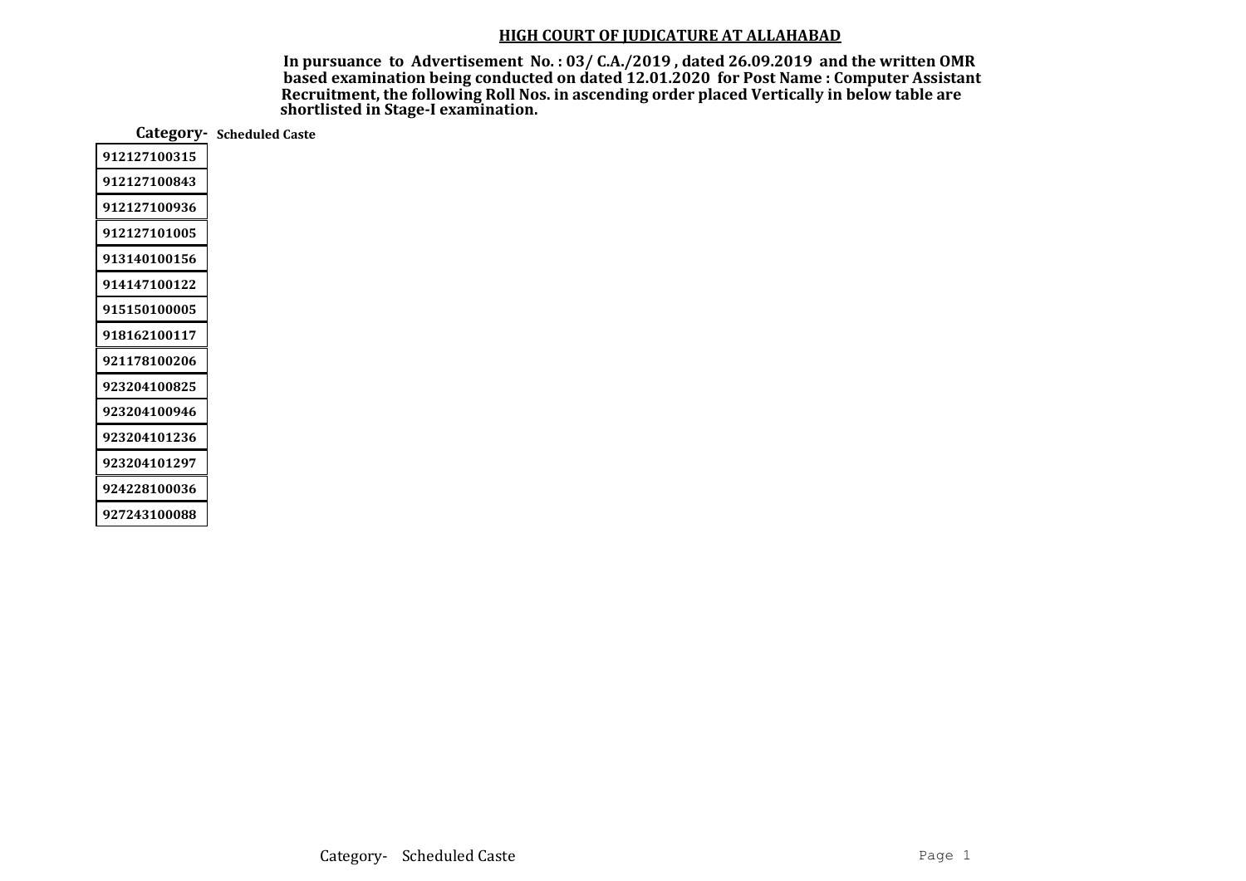In pursuance to Advertisement No. : 03/ C.A./2019 , dated 26.09.2019 and the written OMR based examination being conducted on dated 12.01.2020 for Post Name : Computer Assistant Recruitment, the following Roll Nos. in ascending order placed Vertically in below table are shortlisted in Stage-I examination.

Category- Scheduled Caste

| 912127100315 |
|--------------|
| 912127100843 |
| 912127100936 |
| 912127101005 |
| 913140100156 |
| 914147100122 |
| 915150100005 |
| 918162100117 |
| 921178100206 |
| 923204100825 |
| 923204100946 |
| 923204101236 |
| 923204101297 |
| 924228100036 |
| 927243100088 |